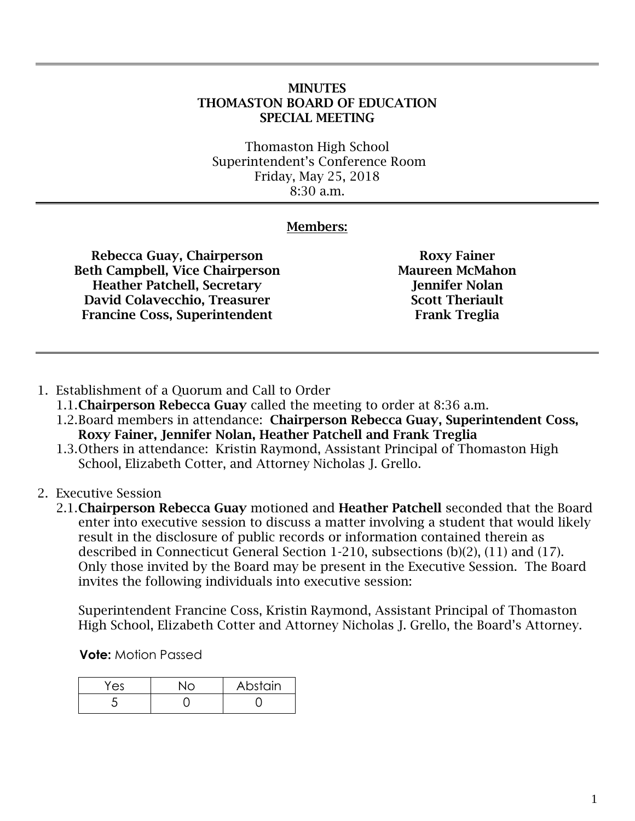## MINUTES THOMASTON BOARD OF EDUCATION SPECIAL MEETING

Thomaston High School Superintendent's Conference Room Friday, May 25, 2018 8:30 a.m.

## Members:

Rebecca Guay, Chairperson Beth Campbell, Vice Chairperson Heather Patchell, Secretary David Colavecchio, Treasurer Francine Coss, Superintendent

Roxy Fainer Maureen McMahon Jennifer Nolan Scott Theriault Frank Treglia

- 1. Establishment of a Quorum and Call to Order
	- 1.1. Chairperson Rebecca Guay called the meeting to order at 8:36 a.m.
	- 1.2.Board members in attendance: Chairperson Rebecca Guay, Superintendent Coss, Roxy Fainer, Jennifer Nolan, Heather Patchell and Frank Treglia
	- 1.3.Others in attendance: Kristin Raymond, Assistant Principal of Thomaston High School, Elizabeth Cotter, and Attorney Nicholas J. Grello.
- 2. Executive Session

2.1.Chairperson Rebecca Guay motioned and Heather Patchell seconded that the Board enter into executive session to discuss a matter involving a student that would likely result in the disclosure of public records or information contained therein as described in Connecticut General Section 1-210, subsections (b)(2), (11) and (17). Only those invited by the Board may be present in the Executive Session. The Board invites the following individuals into executive session:

Superintendent Francine Coss, Kristin Raymond, Assistant Principal of Thomaston High School, Elizabeth Cotter and Attorney Nicholas J. Grello, the Board's Attorney.

**Vote:** Motion Passed

| Yes | Abstain |
|-----|---------|
|     |         |